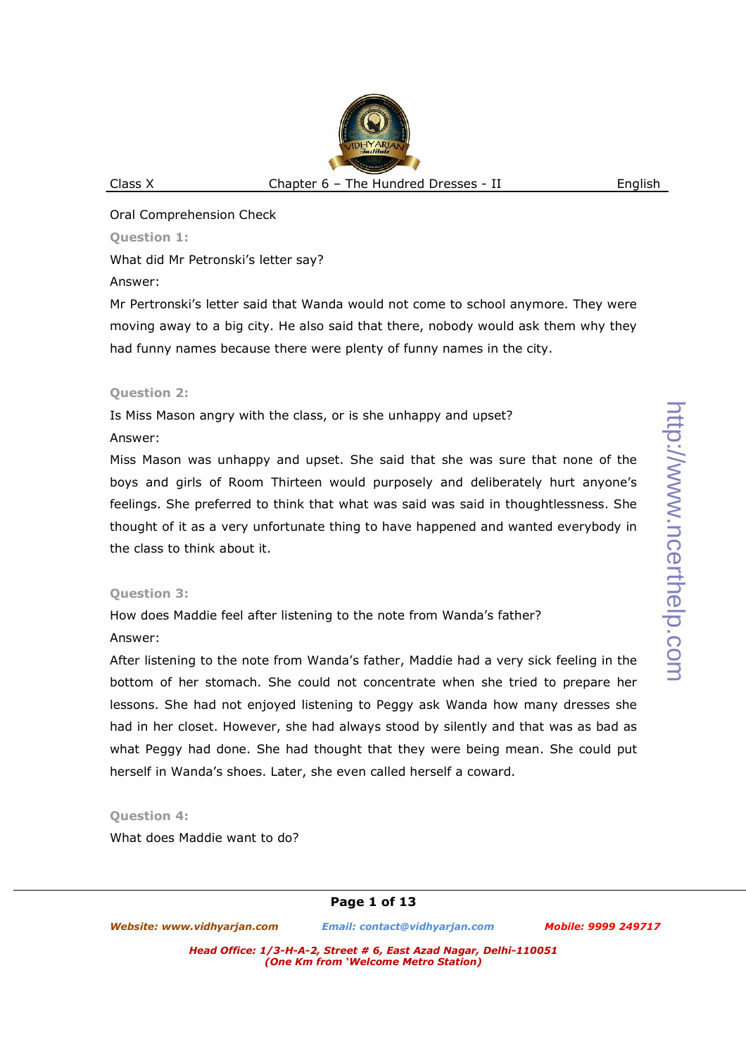Oral Comprehension Check

## **Question 1:**

What did Mr Petronski's letter say?

Answer:

Mr Pertronski's letter said that Wanda would not come to school anymore. They were moving away to a big city. He also said that there, nobody would ask them why they had funny names because there were plenty of funny names in the city.

## **Question 2:**

Is Miss Mason angry with the class, or is she unhappy and upset?

## Answer:

Miss Mason was unhappy and upset. She said that she was sure that none of the boys and girls of Room Thirteen would purposely and deliberately hurt anyone's feelings. She preferred to think that what was said was said in thoughtlessness. She thought of it as a very unfortunate thing to have happened and wanted everybody in the class to think about it.

# **Question 3:**

How does Maddie feel after listening to the note from Wanda's father? Answer:

After listening to the note from Wanda's father, Maddie had a very sick feeling in the bottom of her stomach. She could not concentrate when she tried to prepare her lessons. She had not enjoyed listening to Peggy ask Wanda how many dresses she had in her closet. However, she had always stood by silently and that was as bad as what Peggy had done. She had thought that they were being mean. She could put herself in Wanda's shoes. Later, she even called herself a coward.

# **Question 4:**

What does Maddie want to do?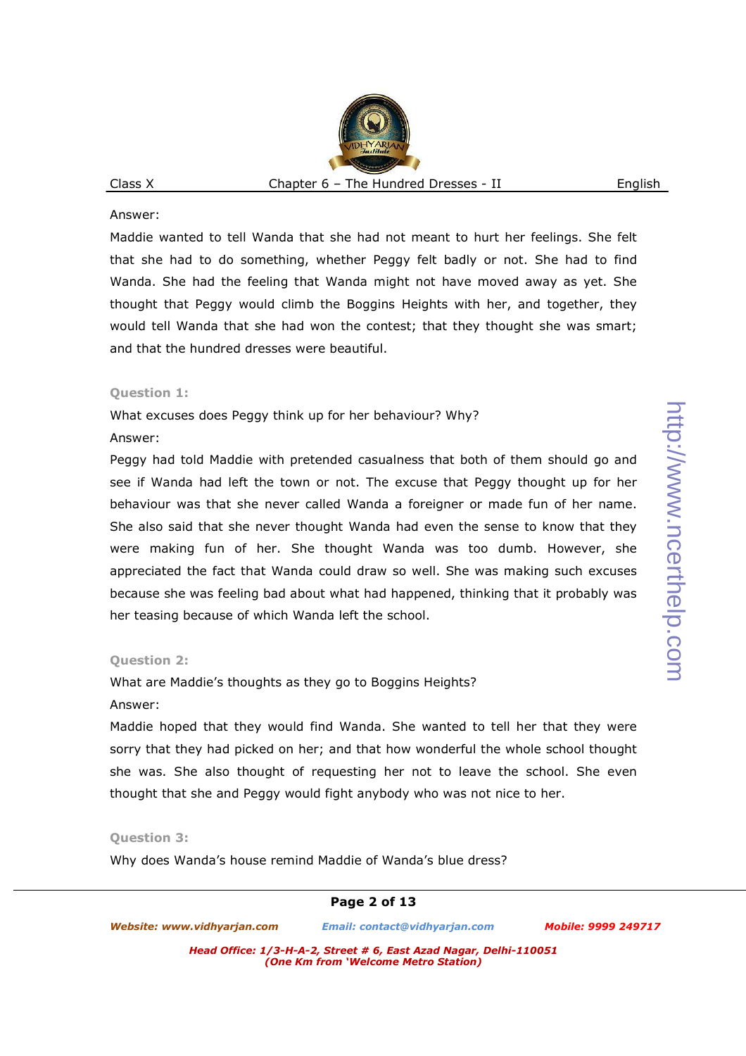Maddie wanted to tell Wanda that she had not meant to hurt her feelings. She felt that she had to do something, whether Peggy felt badly or not. She had to find Wanda. She had the feeling that Wanda might not have moved away as yet. She thought that Peggy would climb the Boggins Heights with her, and together, they would tell Wanda that she had won the contest; that they thought she was smart; and that the hundred dresses were beautiful.

#### **Question 1:**

What excuses does Peggy think up for her behaviour? Why?

#### Answer:

Peggy had told Maddie with pretended casualness that both of them should go and see if Wanda had left the town or not. The excuse that Peggy thought up for her behaviour was that she never called Wanda a foreigner or made fun of her name. She also said that she never thought Wanda had even the sense to know that they were making fun of her. She thought Wanda was too dumb. However, she appreciated the fact that Wanda could draw so well. She was making such excuses because she was feeling bad about what had happened, thinking that it probably was her teasing because of which Wanda left the school.

## **Question 2:**

What are Maddie's thoughts as they go to Boggins Heights?

## Answer:

Maddie hoped that they would find Wanda. She wanted to tell her that they were sorry that they had picked on her; and that how wonderful the whole school thought she was. She also thought of requesting her not to leave the school. She even thought that she and Peggy would fight anybody who was not nice to her.

## **Question 3:**

Why does Wanda's house remind Maddie of Wanda's blue dress?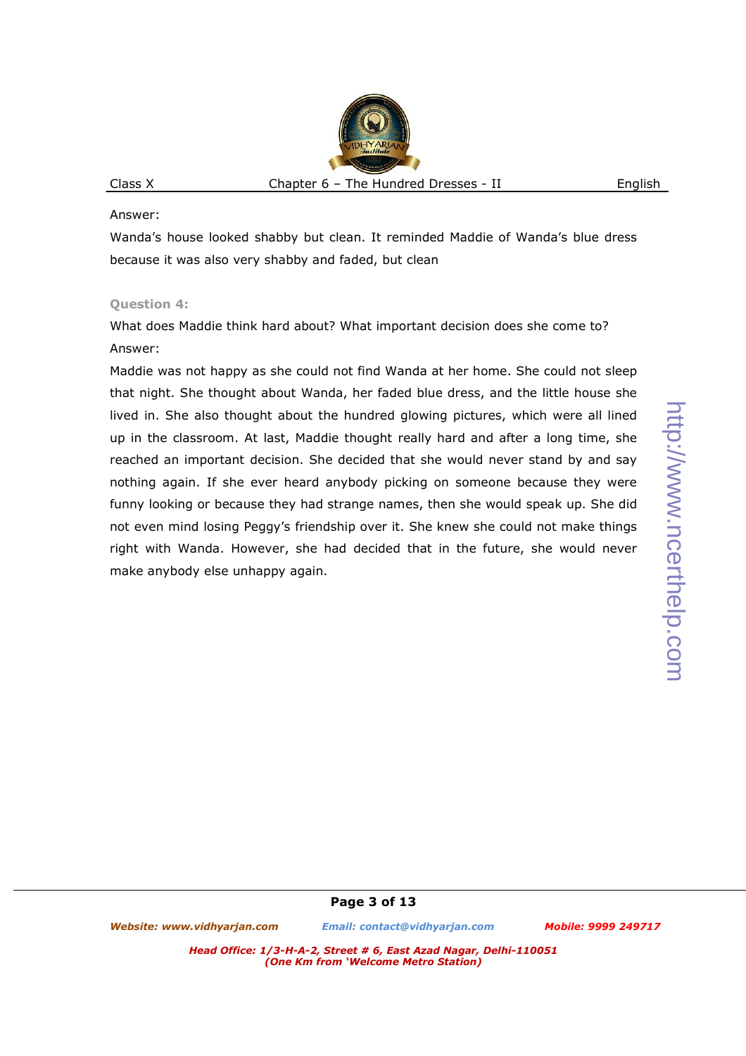Wanda's house looked shabby but clean. It reminded Maddie of Wanda's blue dress because it was also very shabby and faded, but clean

## **Question 4:**

What does Maddie think hard about? What important decision does she come to? Answer:

Maddie was not happy as she could not find Wanda at her home. She could not sleep that night. She thought about Wanda, her faded blue dress, and the little house she lived in. She also thought about the hundred glowing pictures, which were all lined up in the classroom. At last, Maddie thought really hard and after a long time, she reached an important decision. She decided that she would never stand by and say nothing again. If she ever heard anybody picking on someone because they were funny looking or because they had strange names, then she would speak up. She did not even mind losing Peggy's friendship over it. She knew she could not make things right with Wanda. However, she had decided that in the future, she would never make anybody else unhappy again.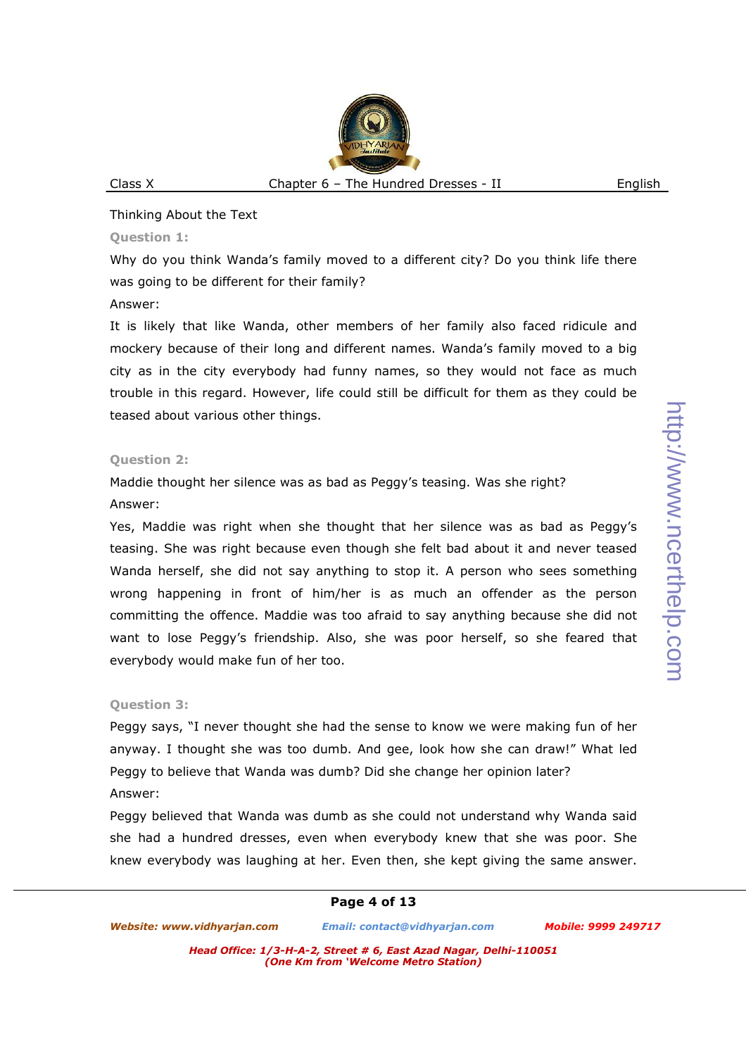#### Thinking About the Text

#### **Question 1:**

Why do you think Wanda's family moved to a different city? Do you think life there was going to be different for their family? Answer:

It is likely that like Wanda, other members of her family also faced ridicule and mockery because of their long and different names. Wanda's family moved to a big city as in the city everybody had funny names, so they would not face as much trouble in this regard. However, life could still be difficult for them as they could be teased about various other things.

#### **Question 2:**

Maddie thought her silence was as bad as Peggy's teasing. Was she right?

### Answer:

Yes, Maddie was right when she thought that her silence was as bad as Peggy's teasing. She was right because even though she felt bad about it and never teased Wanda herself, she did not say anything to stop it. A person who sees something wrong happening in front of him/her is as much an offender as the person committing the offence. Maddie was too afraid to say anything because she did not want to lose Peggy's friendship. Also, she was poor herself, so she feared that everybody would make fun of her too.

## **Question 3:**

Peggy says, "I never thought she had the sense to know we were making fun of her anyway. I thought she was too dumb. And gee, look how she can draw!" What led Peggy to believe that Wanda was dumb? Did she change her opinion later? Answer:

Peggy believed that Wanda was dumb as she could not understand why Wanda said she had a hundred dresses, even when everybody knew that she was poor. She knew everybody was laughing at her. Even then, she kept giving the same answer.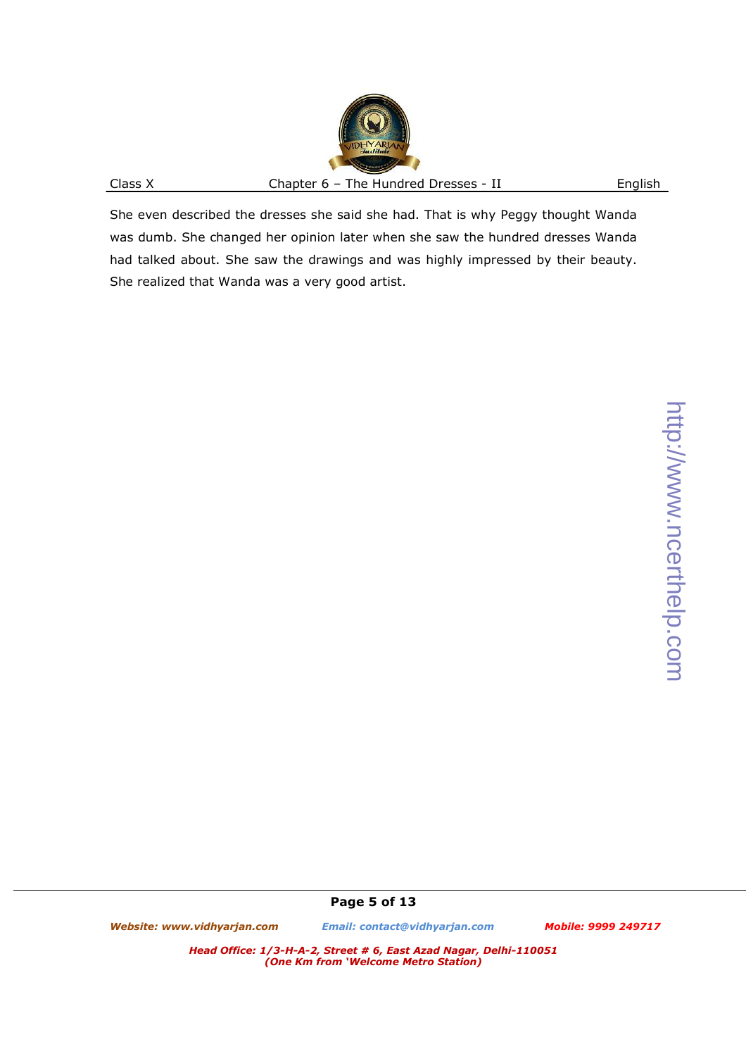She even described the dresses she said she had. That is why Peggy thought Wanda was dumb. She changed her opinion later when she saw the hundred dresses Wanda had talked about. She saw the drawings and was highly impressed by their beauty. She realized that Wanda was a very good artist.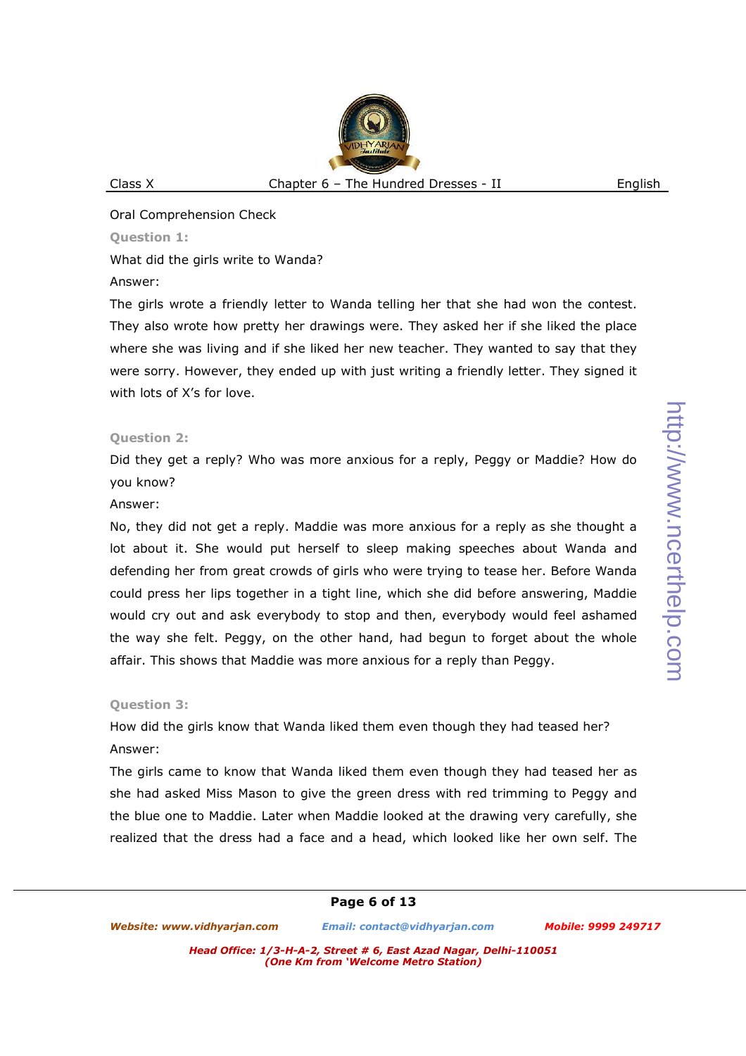Oral Comprehension Check

## **Question 1:**

What did the girls write to Wanda?

## Answer:

The girls wrote a friendly letter to Wanda telling her that she had won the contest. They also wrote how pretty her drawings were. They asked her if she liked the place where she was living and if she liked her new teacher. They wanted to say that they were sorry. However, they ended up with just writing a friendly letter. They signed it with lots of X's for love.

# **Question 2:**

Did they get a reply? Who was more anxious for a reply, Peggy or Maddie? How do you know?

## Answer:

No, they did not get a reply. Maddie was more anxious for a reply as she thought a lot about it. She would put herself to sleep making speeches about Wanda and defending her from great crowds of girls who were trying to tease her. Before Wanda could press her lips together in a tight line, which she did before answering, Maddie would cry out and ask everybody to stop and then, everybody would feel ashamed the way she felt. Peggy, on the other hand, had begun to forget about the whole affair. This shows that Maddie was more anxious for a reply than Peggy.

# **Question 3:**

How did the girls know that Wanda liked them even though they had teased her? Answer:

The girls came to know that Wanda liked them even though they had teased her as she had asked Miss Mason to give the green dress with red trimming to Peggy and the blue one to Maddie. Later when Maddie looked at the drawing very carefully, she realized that the dress had a face and a head, which looked like her own self. The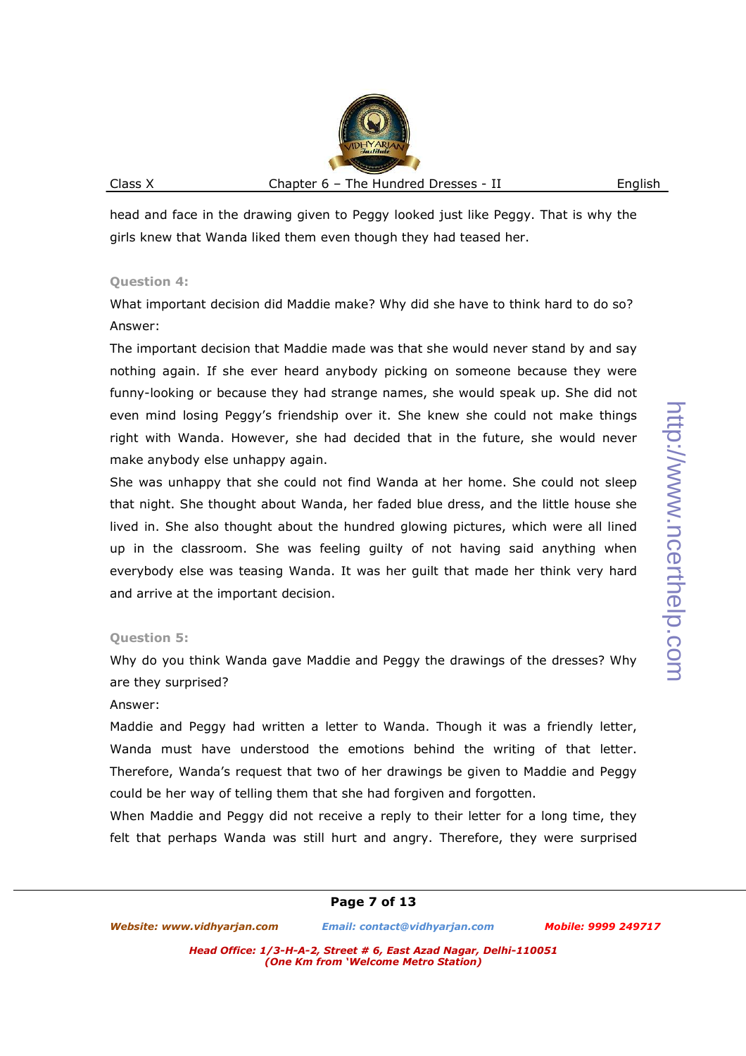head and face in the drawing given to Peggy looked just like Peggy. That is why the girls knew that Wanda liked them even though they had teased her.

#### **Question 4:**

What important decision did Maddie make? Why did she have to think hard to do so? Answer:

The important decision that Maddie made was that she would never stand by and say nothing again. If she ever heard anybody picking on someone because they were funny-looking or because they had strange names, she would speak up. She did not even mind losing Peggy's friendship over it. She knew she could not make things right with Wanda. However, she had decided that in the future, she would never make anybody else unhappy again.

She was unhappy that she could not find Wanda at her home. She could not sleep that night. She thought about Wanda, her faded blue dress, and the little house she lived in. She also thought about the hundred glowing pictures, which were all lined up in the classroom. She was feeling guilty of not having said anything when everybody else was teasing Wanda. It was her guilt that made her think very hard and arrive at the important decision.

## **Question 5:**

Why do you think Wanda gave Maddie and Peggy the drawings of the dresses? Why are they surprised?

Answer:

Maddie and Peggy had written a letter to Wanda. Though it was a friendly letter, Wanda must have understood the emotions behind the writing of that letter. Therefore, Wanda's request that two of her drawings be given to Maddie and Peggy could be her way of telling them that she had forgiven and forgotten.

When Maddie and Peggy did not receive a reply to their letter for a long time, they felt that perhaps Wanda was still hurt and angry. Therefore, they were surprised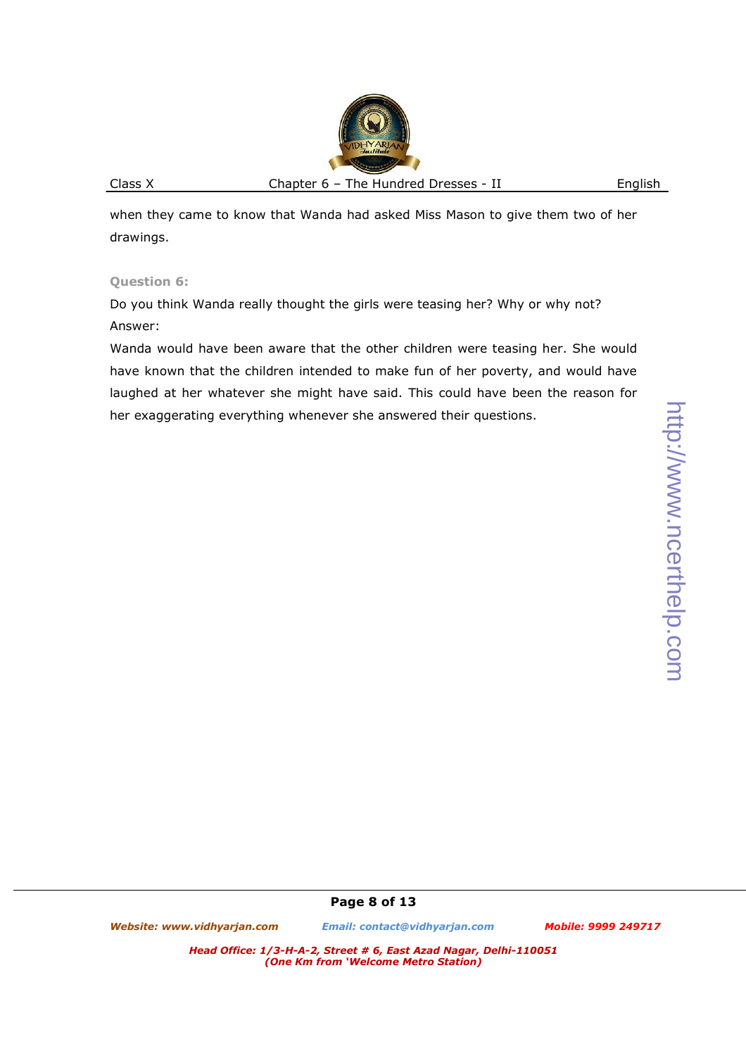http://www.ncerthelp.com http://www.ncerthelp.com

when they came to know that Wanda had asked Miss Mason to give them two of her drawings.

# **Question 6:**

Do you think Wanda really thought the girls were teasing her? Why or why not? Answer:

Wanda would have been aware that the other children were teasing her. She would have known that the children intended to make fun of her poverty, and would have laughed at her whatever she might have said. This could have been the reason for her exaggerating everything whenever she answered their questions.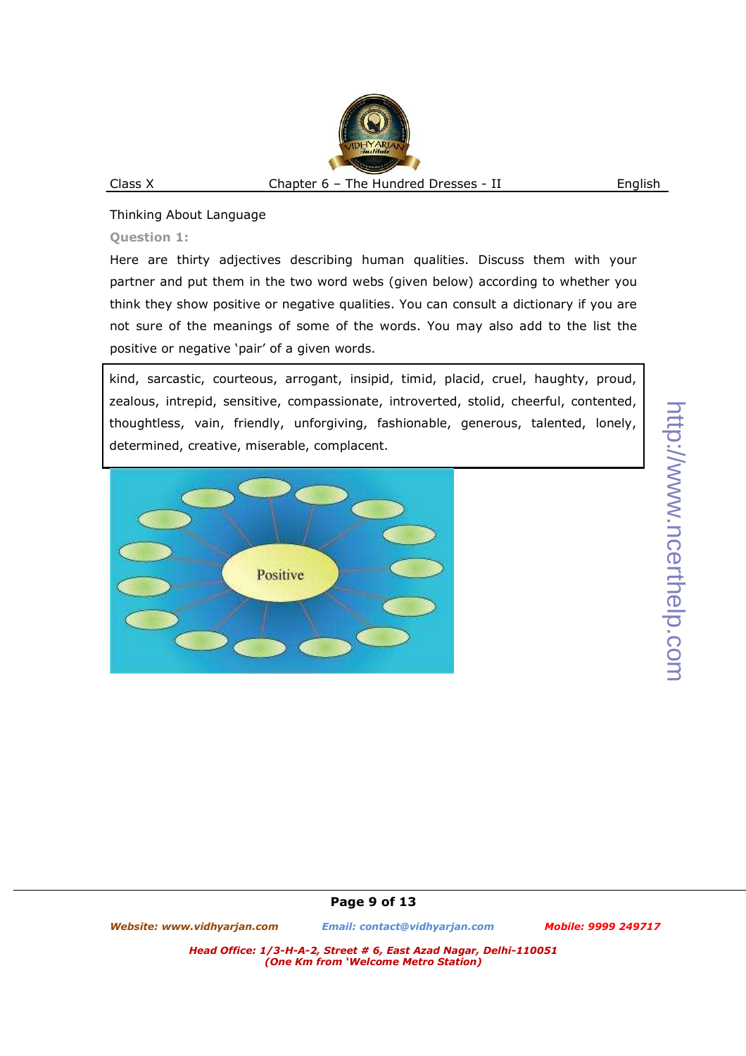### Thinking About Language

## **Question 1:**

Here are thirty adjectives describing human qualities. Discuss them with your partner and put them in the two word webs (given below) according to whether you think they show positive or negative qualities. You can consult a dictionary if you are not sure of the meanings of some of the words. You may also add to the list the positive or negative 'pair' of a given words.

kind, sarcastic, courteous, arrogant, insipid, timid, placid, cruel, haughty, proud, zealous, intrepid, sensitive, compassionate, introverted, stolid, cheerful, contented, thoughtless, vain, friendly, unforgiving, fashionable, generous, talented, lonely, determined, creative, miserable, complacent.

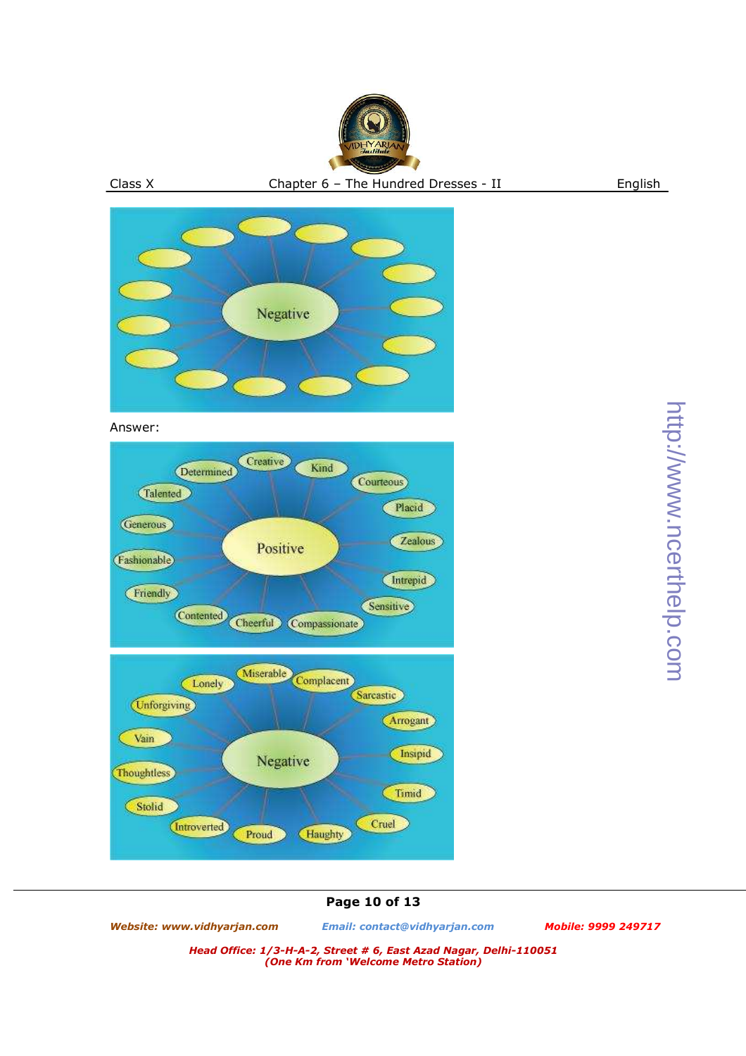



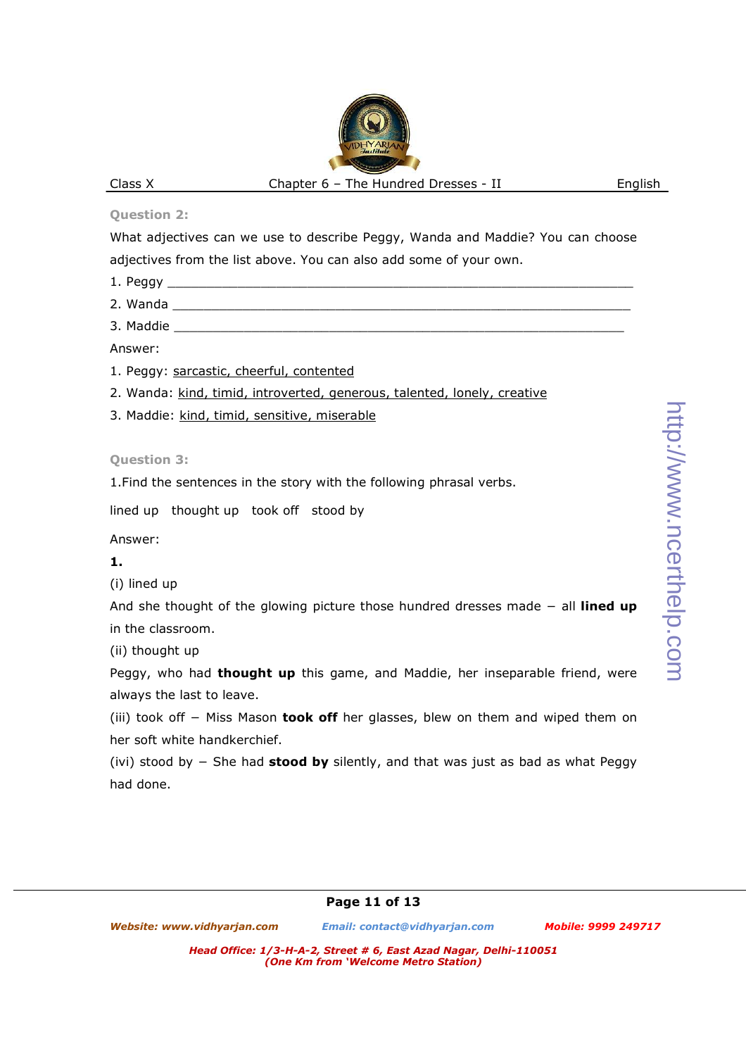## **Question 2:**

What adjectives can we use to describe Peggy, Wanda and Maddie? You can choose adjectives from the list above. You can also add some of your own.

1. Peggy \_\_\_\_\_\_\_\_\_\_\_\_\_\_\_\_\_\_\_\_\_\_\_\_\_\_\_\_\_\_\_\_\_\_\_\_\_\_\_\_\_\_\_\_\_\_\_\_\_\_\_\_\_\_\_\_\_\_\_\_ 2. Wanda \_\_\_\_\_\_\_\_\_\_\_\_\_\_\_\_\_\_\_\_\_\_\_\_\_\_\_\_\_\_\_\_\_\_\_\_\_\_\_\_\_\_\_\_\_\_\_\_\_\_\_\_\_\_\_\_\_\_\_ 3. Maddie <u>and the set of the set of the set of the set of the set of the set of the set of the set of the set of the set of the set of the set of the set of the set of the set of the set of the set of the set of the set o</u> Answer: 1. Peggy: sarcastic, cheerful, contented 2. Wanda: kind, timid, introverted, generous, talented, lonely, creative 3. Maddie: kind, timid, sensitive, miserable **Question 3:**  1.Find the sentences in the story with the following phrasal verbs. lined up thought up took off stood by Answer: **1.** (i) lined up And she thought of the glowing picture those hundred dresses made − all **lined up** in the classroom. (ii) thought up

Peggy, who had **thought up** this game, and Maddie, her inseparable friend, were always the last to leave.

(iii) took off − Miss Mason **took off** her glasses, blew on them and wiped them on her soft white handkerchief.

(ivi) stood by − She had **stood by** silently, and that was just as bad as what Peggy had done.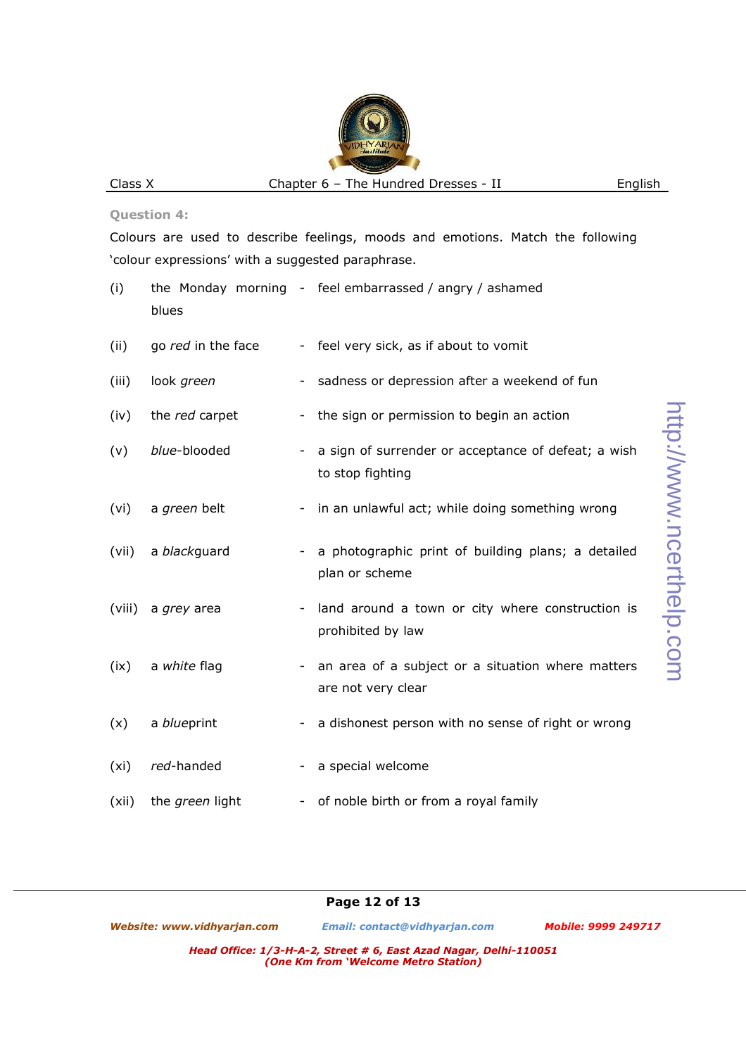#### **Question 4:**

Colours are used to describe feelings, moods and emotions. Match the following 'colour expressions' with a suggested paraphrase.

- (i) the Monday morning feel embarrassed / angry / ashamed blues
- (ii) go *red* in the face feel very sick, as if about to vomit
- (iii) look *green* sadness or depression after a weekend of fun
- (iv) the *red* carpet the sign or permission to begin an action
- (v) *blue*-blooded a sign of surrender or acceptance of defeat; a wish to stop fighting
- (vi) a *green* belt in an unlawful act; while doing something wrong
- (vii) a *black*guard a photographic print of building plans; a detailed plan or scheme
- (viii) a *grey* area land around a town or city where construction is prohibited by law
- (ix) a *white* flag  $\sim$  an area of a subject or a situation where matters are not very clear
- (x) a *blue* print a dishonest person with no sense of right or wrong
- (xi) *red*-handed a special welcome
- (xii) the *green* light of noble birth or from a royal family